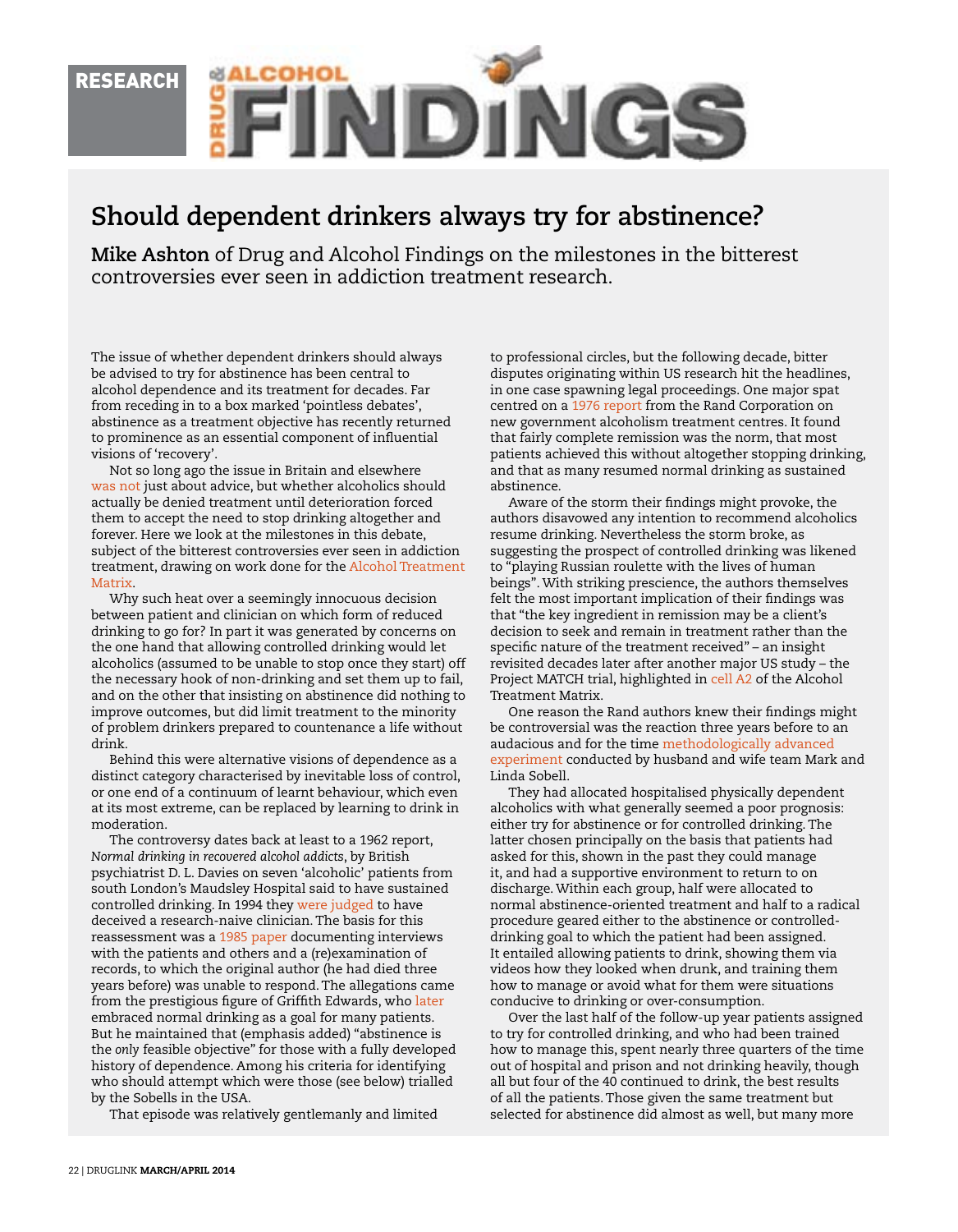

## **Should dependent drinkers always try for abstinence?**

**Mike Ashton** of Drug and Alcohol Findings on the milestones in the bitterest controversies ever seen in addiction treatment research.

The issue of whether dependent drinkers should always be advised to try for abstinence has been central to alcohol dependence and its treatment for decades. Far from receding in to a box marked 'pointless debates', abstinence as a treatment objective has recently returned to prominence as an essential component of influential visions of 'recovery'.

Not so long ago the issue in Britain and elsewhere [was not](http://dx.doi.org/10.1111/j.1360-0443.1995.tb01080.x) just about advice, but whether alcoholics should actually be denied treatment until deterioration forced them to accept the need to stop drinking altogether and forever. Here we look at the milestones in this debate, subject of the bitterest controversies ever seen in addiction treatment, drawing on work done for the [Alcohol Treatment](http://findings.org.uk/count/downloads/download.php?file=amatrix.htm)  [Matrix](http://findings.org.uk/count/downloads/download.php?file=amatrix.htm).

Why such heat over a seemingly innocuous decision between patient and clinician on which form of reduced drinking to go for? In part it was generated by concerns on the one hand that allowing controlled drinking would let alcoholics (assumed to be unable to stop once they start) off the necessary hook of non-drinking and set them up to fail, and on the other that insisting on abstinence did nothing to improve outcomes, but did limit treatment to the minority of problem drinkers prepared to countenance a life without drink.

Behind this were alternative visions of dependence as a distinct category characterised by inevitable loss of control, or one end of a continuum of learnt behaviour, which even at its most extreme, can be replaced by learning to drink in moderation.

The controversy dates back at least to a 1962 report, *Normal drinking in recovered alcohol addicts*, by British psychiatrist D. L. Davies on seven 'alcoholic' patients from south London's Maudsley Hospital said to have sustained controlled drinking. In 1994 they [were judged](http://dx.doi.org/10.1016/0376-8716(94)90082-5) to have deceived a research-naive clinician. The basis for this reassessment was a [1985 paper](http://www.jsad.com/jsad/article/A_Later_FollowUp_of_a_Classic_Case_Series_D_L_Daviesrsquos_1962_Repor/3450.html) documenting interviews with the patients and others and a (re)examination of records, to which the original author (he had died three years before) was unable to respond. The allegations came from the prestigious figure of Griffith Edwards, who [later](http://www.cambridge.org/catalogue/catalogue.asp?isbn=0511058934) embraced normal drinking as a goal for many patients. But he maintained that (emphasis added) "abstinence is the *only* feasible objective" for those with a fully developed history of dependence. Among his criteria for identifying who should attempt which were those (see below) trialled by the Sobells in the USA.

That episode was relatively gentlemanly and limited

to professional circles, but the following decade, bitter disputes originating within US research hit the headlines, in one case spawning legal proceedings. One major spat centred on a [1976 report](http://www.rand.org/pubs/reports/R1739.html) from the Rand Corporation on new government alcoholism treatment centres. It found that fairly complete remission was the norm, that most patients achieved this without altogether stopping drinking, and that as many resumed normal drinking as sustained abstinence.

Aware of the storm their findings might provoke, the authors disavowed any intention to recommend alcoholics resume drinking. Nevertheless the storm broke, as suggesting the prospect of controlled drinking was likened to "playing Russian roulette with the lives of human beings". With striking prescience, the authors themselves felt the most important implication of their findings was that "the key ingredient in remission may be a client's decision to seek and remain in treatment rather than the specific nature of the treatment received" – an insight revisited decades later after another major US study – the Project MATCH trial, highlighted in [cell A2](http://findings.org.uk/count/downloads/download.php?file=Matrix/Alcohol/A2.htm) of the Alcohol Treatment Matrix.

One reason the Rand authors knew their findings might be controversial was the reaction three years before to an audacious and for the time [methodologically advanced](http://dx.doi.org/10.1016/0005-7967(73)90118-6)  [experiment](http://dx.doi.org/10.1016/0005-7967(73)90118-6) conducted by husband and wife team Mark and Linda Sobell.

They had allocated hospitalised physically dependent alcoholics with what generally seemed a poor prognosis: either try for abstinence or for controlled drinking. The latter chosen principally on the basis that patients had asked for this, shown in the past they could manage it, and had a supportive environment to return to on discharge. Within each group, half were allocated to normal abstinence-oriented treatment and half to a radical procedure geared either to the abstinence or controlleddrinking goal to which the patient had been assigned. It entailed allowing patients to drink, showing them via videos how they looked when drunk, and training them how to manage or avoid what for them were situations conducive to drinking or over-consumption.

Over the last half of the follow-up year patients assigned to try for controlled drinking, and who had been trained how to manage this, spent nearly three quarters of the time out of hospital and prison and not drinking heavily, though all but four of the 40 continued to drink, the best results of all the patients. Those given the same treatment but selected for abstinence did almost as well, but many more